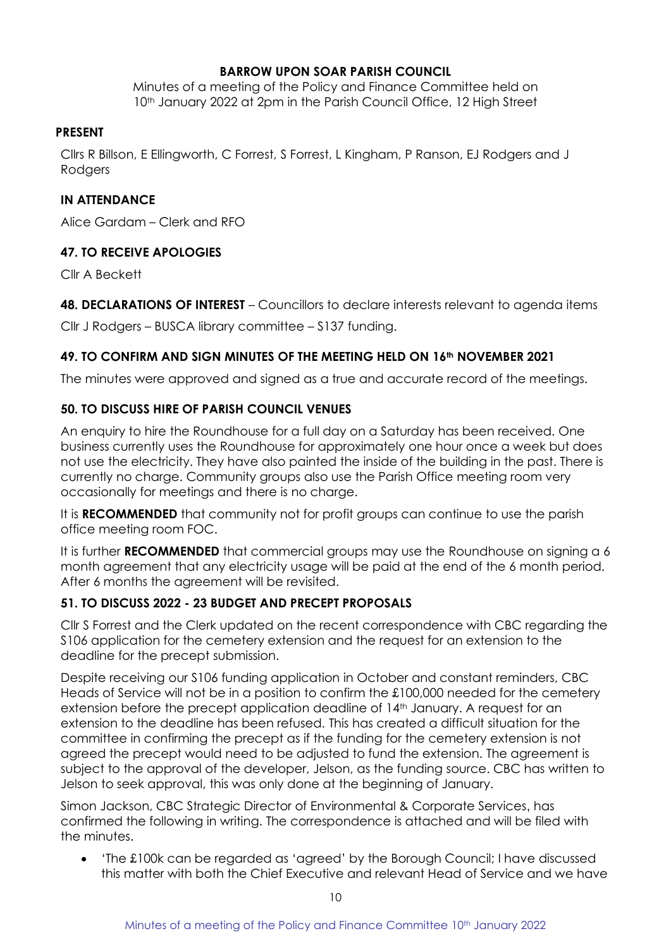### **BARROW UPON SOAR PARISH COUNCIL**

Minutes of a meeting of the Policy and Finance Committee held on 10<sup>th</sup> January 2022 at 2pm in the Parish Council Office, 12 High Street

#### **PRESENT**

Cllrs R Billson, E Ellingworth, C Forrest, S Forrest, L Kingham, P Ranson, EJ Rodgers and J **Rodgers** 

## **IN ATTENDANCE**

Alice Gardam – Clerk and RFO

## **47. TO RECEIVE APOLOGIES**

Cllr A Beckett

**48. DECLARATIONS OF INTEREST** – Councillors to declare interests relevant to agenda items

Cllr J Rodgers – BUSCA library committee – S137 funding.

## **49. TO CONFIRM AND SIGN MINUTES OF THE MEETING HELD ON 16th NOVEMBER 2021**

The minutes were approved and signed as a true and accurate record of the meetings.

## **50. TO DISCUSS HIRE OF PARISH COUNCIL VENUES**

An enquiry to hire the Roundhouse for a full day on a Saturday has been received. One business currently uses the Roundhouse for approximately one hour once a week but does not use the electricity. They have also painted the inside of the building in the past. There is currently no charge. Community groups also use the Parish Office meeting room very occasionally for meetings and there is no charge.

It is **RECOMMENDED** that community not for profit groups can continue to use the parish office meeting room FOC.

It is further **RECOMMENDED** that commercial groups may use the Roundhouse on signing a 6 month agreement that any electricity usage will be paid at the end of the 6 month period. After 6 months the agreement will be revisited.

## **51. TO DISCUSS 2022 - 23 BUDGET AND PRECEPT PROPOSALS**

Cllr S Forrest and the Clerk updated on the recent correspondence with CBC regarding the S106 application for the cemetery extension and the request for an extension to the deadline for the precept submission.

Despite receiving our S106 funding application in October and constant reminders, CBC Heads of Service will not be in a position to confirm the £100,000 needed for the cemetery extension before the precept application deadline of 14<sup>th</sup> January. A request for an extension to the deadline has been refused. This has created a difficult situation for the committee in confirming the precept as if the funding for the cemetery extension is not agreed the precept would need to be adjusted to fund the extension. The agreement is subject to the approval of the developer, Jelson, as the funding source. CBC has written to Jelson to seek approval, this was only done at the beginning of January.

Simon Jackson, CBC Strategic Director of Environmental & Corporate Services, has confirmed the following in writing. The correspondence is attached and will be filed with the minutes.

• 'The £100k can be regarded as 'agreed' by the Borough Council; I have discussed this matter with both the Chief Executive and relevant Head of Service and we have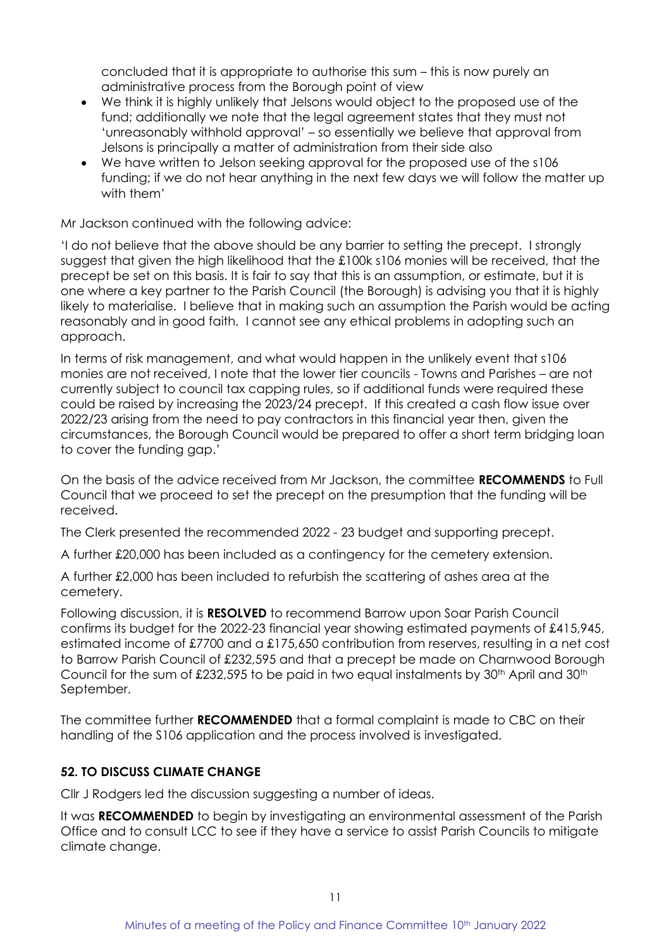concluded that it is appropriate to authorise this sum – this is now purely an administrative process from the Borough point of view

- We think it is highly unlikely that Jelsons would object to the proposed use of the fund; additionally we note that the legal agreement states that they must not 'unreasonably withhold approval' – so essentially we believe that approval from Jelsons is principally a matter of administration from their side also
- We have written to Jelson seeking approval for the proposed use of the s106 funding; if we do not hear anything in the next few days we will follow the matter up with them'

Mr Jackson continued with the following advice:

'I do not believe that the above should be any barrier to setting the precept. I strongly suggest that given the high likelihood that the £100k s106 monies will be received, that the precept be set on this basis. It is fair to say that this is an assumption, or estimate, but it is one where a key partner to the Parish Council (the Borough) is advising you that it is highly likely to materialise. I believe that in making such an assumption the Parish would be acting reasonably and in good faith. I cannot see any ethical problems in adopting such an approach.

In terms of risk management, and what would happen in the unlikely event that s106 monies are not received, I note that the lower tier councils - Towns and Parishes – are not currently subject to council tax capping rules, so if additional funds were required these could be raised by increasing the 2023/24 precept. If this created a cash flow issue over 2022/23 arising from the need to pay contractors in this financial year then, given the circumstances, the Borough Council would be prepared to offer a short term bridging loan to cover the funding gap.'

On the basis of the advice received from Mr Jackson, the committee **RECOMMENDS** to Full Council that we proceed to set the precept on the presumption that the funding will be received.

The Clerk presented the recommended 2022 - 23 budget and supporting precept.

A further £20,000 has been included as a contingency for the cemetery extension.

A further £2,000 has been included to refurbish the scattering of ashes area at the cemetery.

Following discussion, it is **RESOLVED** to recommend Barrow upon Soar Parish Council confirms its budget for the 2022-23 financial year showing estimated payments of £415,945, estimated income of £7700 and a £175,650 contribution from reserves, resulting in a net cost to Barrow Parish Council of £232,595 and that a precept be made on Charnwood Borough Council for the sum of £232,595 to be paid in two equal instalments by 30<sup>th</sup> April and 30<sup>th</sup> September.

The committee further **RECOMMENDED** that a formal complaint is made to CBC on their handling of the S106 application and the process involved is investigated.

## **52. TO DISCUSS CLIMATE CHANGE**

Cllr J Rodgers led the discussion suggesting a number of ideas.

It was **RECOMMENDED** to begin by investigating an environmental assessment of the Parish Office and to consult LCC to see if they have a service to assist Parish Councils to mitigate climate change.